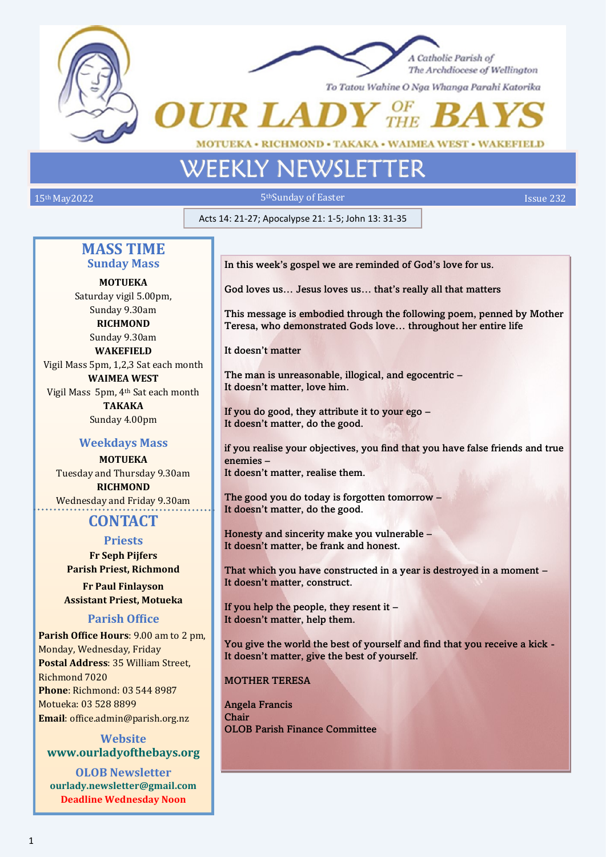



To Tatou Wahine O Nga Whanga Parahi Katorika

**UR LADY** 

MOTUEKA • RICHMOND • TAKAKA • WAIMEA WEST • WAKEFIELD

# WEEKLY NEWSLETTER

15<sup>th</sup> May2022 5th May2022 5th Sunday of Easter Issue 232

Acts 14: 21-27; Apocalypse 21: 1-5; John 13: 31-35

## **MASS TIME Sunday Mass**

**MOTUEKA**  Saturday vigil 5.00pm, Sunday 9.30am **RICHMOND** Sunday 9.30am

**WAKEFIELD** Vigil Mass 5pm, 1,2,3 Sat each month **WAIMEA WEST** Vigil Mass 5pm, 4th Sat each month **TAKAKA**

Sunday 4.00pm

## **Weekdays Mass**

**MOTUEKA** Tuesday and Thursday 9.30am **RICHMOND** Wednesday and Friday 9.30am

## **CONTACT**

## **Priests**

**Fr Seph Pijfers Parish Priest, Richmond**

**Fr Paul Finlayson Assistant Priest, Motueka**

## **Parish Office**

**Parish Office Hours**: 9.00 am to 2 pm, Monday, Wednesday, Friday **Postal Address**: 35 William Street, Richmond 7020 **Phone**: Richmond: 03 544 8987 Motueka: 03 528 8899 **Email**: office.admin@parish.org.nz

## **Website www.ourladyofthebays.org**

**OLOB Newsletter ourlady.newsletter@gmail.com Deadline Wednesday Noon**

In this week's gospel we are reminded of God's love for us.

God loves us… Jesus loves us… that's really all that matters

This message is embodied through the following poem, penned by Mother Teresa, who demonstrated Gods love… throughout her entire life

It doesn't matter

The man is unreasonable, illogical, and egocentric – It doesn't matter, love him.

If you do good, they attribute it to your ego – It doesn't matter, do the good.

if you realise your objectives, you find that you have false friends and true enemies –

It doesn't matter, realise them.

The good you do today is forgotten tomorrow – It doesn't matter, do the good.

Honesty and sincerity make you vulnerable – It doesn't matter, be frank and honest.

That which you have constructed in a year is destroyed in a moment – It doesn't matter, construct.

If you help the people, they resent it – It doesn't matter, help them.

You give the world the best of yourself and find that you receive a kick - It doesn't matter, give the best of yourself.

MOTHER TERESA

Angela Francis Chair OLOB Parish Finance Committee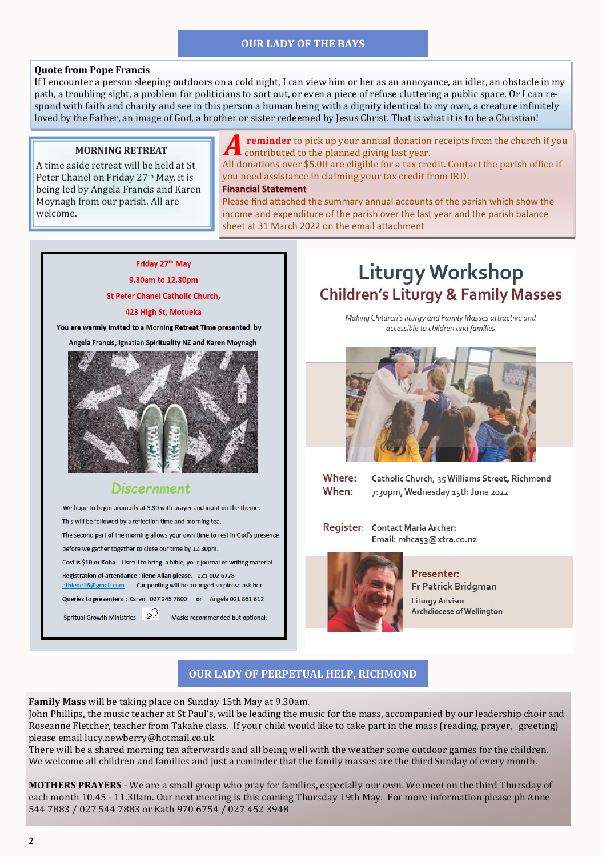#### **OUR LADY OF THE BAYS**

#### **Quote from Pope Francis**

If I encounter a person sleeping outdoors on a cold night, I can view him or her as an annoyance, an idler, an obstacle in my path, a troubling sight, a problem for politicians to sort out, or even a piece of refuse cluttering a public space. Or I can respond with faith and charity and see in this person a human being with a dignity identical to my own, a creature infinitely loved by the Father, an image of God, a brother or sister redeemed by Jesus Christ. That is what it is to be a Christian!

#### **MORNING RETREAT**

A time aside retreat will be held at St Peter Chanel on Friday 27th May. it is being led by Angela Francis and Karen Moynagh from our parish. All are welcome.

**A**<br> **A** contributed to the planned giving last year.<br>
All donations over \$5.00 are eligible for a tax credit. Contact the parish office if **reminder** to pick up your annual donation receipts from the church if you contributed to the planned giving last year. you need assistance in claiming your tax credit from IRD.

#### **Financial Statement**

Please find attached the summary annual accounts of the parish which show the income and expenditure of the parish over the last year and the parish balance sheet at 31 March 2022 on the email attachment

Friday 27<sup>th</sup> May

9.30am to 12.30pm

**St Peter Chanel Catholic Church,** 

#### 423 High St. Motueka

You are warmly invited to a Morning Retreat Time presented by



## Discernment

We hope to begin promptly at 9.30 with prayer and input on the theme. This will be followed by a reflection time and morning tea. The second part of the morning allows your own time to rest in God's presence before we gather together to close our time by 12.30pm. Cost is \$10 or Koha Useful to bring a bible, your journal or writing material. Registration of attendance: Ilene Allan please. 021 102 6778 athlene16@gmail.com Car pooling will be arranged so please ask her.

Queries to presenters: Karen 027 245 7800 or Angela 021 861 612

Spritual Growth Ministries Masks recommended but optional.

## **Liturgy Workshop Children's Liturgy & Family Masses**

Making Children's liturgy and Family Masses attractive and accessible to children and families



Where: Catholic Church, 35 Williams Street, Richmond When: 7:30pm, Wednesday 15th June 2022

Register: Contact Maria Archer: Email: mhca53@xtra.co.nz



Presenter: Fr Patrick Bridgman **Liturgy Advisor** Archdiocese of Wellington

#### **OUR LADY OF PERPETUAL HELP, RICHMOND**

**Family Mass** will be taking place on Sunday 15th May at 9.30am.

John Phillips, the music teacher at St Paul's, will be leading the music for the mass, accompanied by our leadership choir and Roseanne Fletcher, teacher from Takahe class. If your child would like to take part in the mass (reading, prayer, greeting) please email [lucy.newberry@hotmail.co.uk](mailto:lucy.newberry@hotmail.co.uk)

There will be a shared morning tea afterwards and all being well with the weather some outdoor games for the children. We welcome all children and families and just a reminder that the family masses are the third Sunday of every month.

**MOTHERS PRAYERS** - We are a small group who pray for families, especially our own. We meet on the third Thursday of each month 10.45 - 11.30am. Our next meeting is this coming Thursday 19th May. For more information please ph Anne 544 7883 / 027 544 7883 or Kath 970 6754 / 027 452 3948